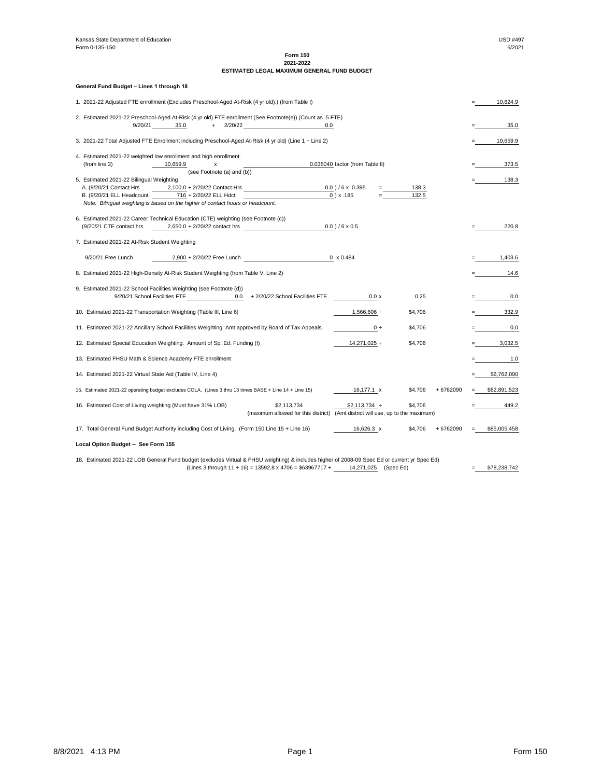Kansas State Department of Education **Example 2018** No. 2019 12:30 No. 2019 12:30 No. 2019 12:30 No. 2019 12:30 No. 2019 12:30 No. 2019 12:30 No. 2019 12:30 No. 2019 12:30 No. 2019 12:30 No. 2019 12:30 No. 2019 12:30 No. 2 Form 0-135-150

> **Form 150 2021-2022**

# **ESTIMATED LEGAL MAXIMUM GENERAL FUND BUDGET**

**General Fund Budget – Lines 1 through 18**

|                                                            | 1. 2021-22 Adjusted FTE enrollment (Excludes Preschool-Aged At-Risk (4 yr old).) (from Table I)        |                                                                                                                                               |                                            |         |          |     | 10,624.9     |
|------------------------------------------------------------|--------------------------------------------------------------------------------------------------------|-----------------------------------------------------------------------------------------------------------------------------------------------|--------------------------------------------|---------|----------|-----|--------------|
|                                                            |                                                                                                        | 2. Estimated 2021-22 Preschool-Aged At-Risk (4 yr old) FTE enrollment (See Footnote(e)) (Count as .5 FTE)                                     |                                            |         |          |     |              |
| 9/20/21                                                    | 35.0                                                                                                   | $+$ 2/20/22<br>0.0                                                                                                                            |                                            |         |          |     | 35.0         |
|                                                            | 3. 2021-22 Total Adjusted FTE Enrollment including Preschool-Aged At-Risk (4 yr old) (Line 1 + Line 2) |                                                                                                                                               |                                            |         |          |     | 10,659.9     |
|                                                            | 4. Estimated 2021-22 weighted low enrollment and high enrollment.                                      |                                                                                                                                               |                                            |         |          |     |              |
| (from line 3)                                              | 10,659.9<br>X                                                                                          |                                                                                                                                               | 0.035040 factor (from Table II)            |         |          |     | 373.5        |
|                                                            | (see Footnote (a) and (b))                                                                             |                                                                                                                                               |                                            |         |          |     |              |
| 5. Estimated 2021-22 Bilingual Weighting                   |                                                                                                        |                                                                                                                                               |                                            |         |          |     | 138.3        |
| A. (9/20/21 Contact Hrs                                    | $2,100.0 + 2/20/22$ Contact Hrs                                                                        |                                                                                                                                               | $0.0$ )/6 x 0.395                          | 138.3   |          |     |              |
| B. (9/20/21 ELL Headcount                                  | 716 + 2/20/22 ELL Hdct                                                                                 |                                                                                                                                               | $0$ ) x .185                               | 132.5   |          |     |              |
|                                                            | Note: Bilingual weighting is based on the higher of contact hours or headcount.                        |                                                                                                                                               |                                            |         |          |     |              |
|                                                            |                                                                                                        |                                                                                                                                               |                                            |         |          |     |              |
|                                                            | 6. Estimated 2021-22 Career Technical Education (CTE) weighting (see Footnote (c))                     |                                                                                                                                               |                                            |         |          |     |              |
| (9/20/21 CTE contact hrs                                   | $2,650.0 + 2/20/22$ contact hrs                                                                        |                                                                                                                                               | $0.0$ )/6 x 0.5                            |         |          |     | 220.8        |
|                                                            |                                                                                                        |                                                                                                                                               |                                            |         |          |     |              |
| 7. Estimated 2021-22 At-Risk Student Weighting             |                                                                                                        |                                                                                                                                               |                                            |         |          |     |              |
|                                                            |                                                                                                        |                                                                                                                                               |                                            |         |          |     |              |
| 9/20/21 Free Lunch                                         | 2,900 + 2/20/22 Free Lunch                                                                             |                                                                                                                                               | $0 \times 0.484$                           |         |          |     | 1,403.6      |
|                                                            | 8. Estimated 2021-22 High-Density At-Risk Student Weighting (from Table V, Line 2)                     |                                                                                                                                               |                                            |         |          |     | 14.6         |
|                                                            | 9. Estimated 2021-22 School Facilities Weighting (see Footnote (d))                                    |                                                                                                                                               |                                            |         |          |     |              |
|                                                            | 9/20/21 School Facilities FTE<br>0.0                                                                   | + 2/20/22 School Facilities FTE                                                                                                               | 0.0 x                                      | 0.25    |          |     | 0.0          |
|                                                            |                                                                                                        |                                                                                                                                               |                                            |         |          |     |              |
|                                                            | 10. Estimated 2021-22 Transportation Weighting (Table III, Line 6)                                     |                                                                                                                                               | $1,566,606 \div$                           | \$4,706 |          |     | 332.9        |
|                                                            |                                                                                                        |                                                                                                                                               |                                            |         |          |     |              |
|                                                            | 11. Estimated 2021-22 Ancillary School Facilities Weighting. Amt approved by Board of Tax Appeals.     |                                                                                                                                               | $0 \div$                                   | \$4,706 |          |     | 0.0          |
|                                                            |                                                                                                        |                                                                                                                                               |                                            |         |          |     |              |
|                                                            | 12. Estimated Special Education Weighting. Amount of Sp. Ed. Funding (f)                               |                                                                                                                                               | $14,271,025 \div$                          | \$4,706 |          |     | 3,032.5      |
|                                                            |                                                                                                        |                                                                                                                                               |                                            |         |          |     |              |
|                                                            | 13. Estimated FHSU Math & Science Academy FTE enrollment                                               |                                                                                                                                               |                                            |         |          |     | 1.0          |
|                                                            |                                                                                                        |                                                                                                                                               |                                            |         |          |     |              |
| 14. Estimated 2021-22 Virtual State Aid (Table IV, Line 4) |                                                                                                        |                                                                                                                                               |                                            |         |          |     | \$6,762,090  |
|                                                            |                                                                                                        |                                                                                                                                               |                                            |         |          |     |              |
|                                                            | 15. Estimated 2021-22 operating budget excludes COLA. (Lines 3 thru 13 times BASE + Line 14 + Line 15) |                                                                                                                                               | 16,177.1 x                                 | \$4,706 | +6762090 | $=$ | \$82,891,523 |
|                                                            |                                                                                                        |                                                                                                                                               |                                            |         |          |     |              |
| 16. Estimated Cost of Living weighting (Must have 31% LOB) |                                                                                                        | \$2,113,734                                                                                                                                   | $$2,113,734 \div$                          | \$4,706 |          |     | 449.2        |
|                                                            |                                                                                                        | (maximum allowed for this district)                                                                                                           | (Amt district will use, up to the maximum) |         |          |     |              |
|                                                            | 17. Total General Fund Budget Authority including Cost of Living. (Form 150 Line 15 + Line 16)         |                                                                                                                                               | 16,626.3 x                                 | \$4,706 | +6762090 |     | \$85,005,458 |
|                                                            |                                                                                                        |                                                                                                                                               |                                            |         |          |     |              |
| Local Option Budget -- See Form 155                        |                                                                                                        |                                                                                                                                               |                                            |         |          |     |              |
|                                                            |                                                                                                        |                                                                                                                                               |                                            |         |          |     |              |
|                                                            |                                                                                                        | 18. Estimated 2021-22 LOB General Fund budget (excludes Virtual & FHSU weighting) & includes higher of 2008-09 Spec Ed or current yr Spec Ed) |                                            |         |          |     |              |

(Lines 3 through  $11 + 16$ ) = 13592.8 x 4706 = \$63967717 +  $\underline{\qquad}$  14,271,025 (Spec Ed) = \$78,238,742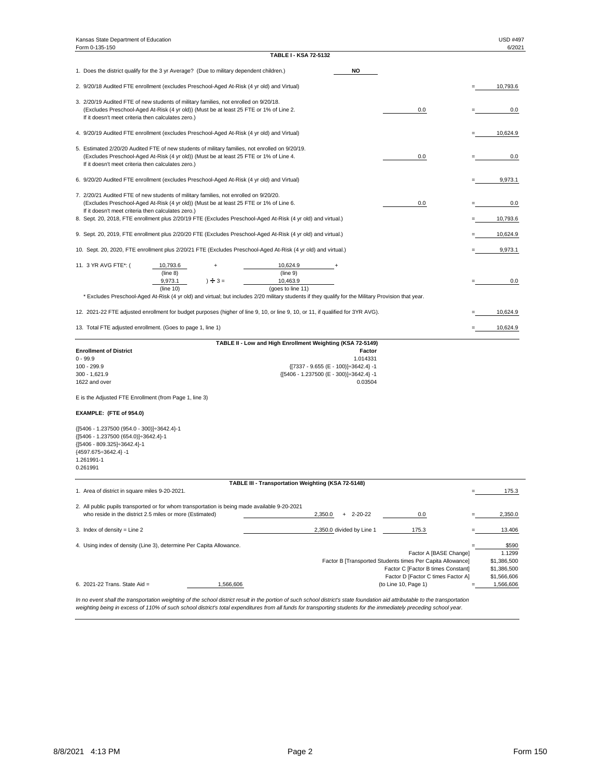| Kansas State Department of Education<br>Form 0-135-150                                                                                                                                 |                                                                                                                                                                                                                                                                                                 |                                                                                                                                                                      |                                      |     | <b>USD #497</b><br>6/2021 |
|----------------------------------------------------------------------------------------------------------------------------------------------------------------------------------------|-------------------------------------------------------------------------------------------------------------------------------------------------------------------------------------------------------------------------------------------------------------------------------------------------|----------------------------------------------------------------------------------------------------------------------------------------------------------------------|--------------------------------------|-----|---------------------------|
|                                                                                                                                                                                        |                                                                                                                                                                                                                                                                                                 | <b>TABLE I - KSA 72-5132</b>                                                                                                                                         |                                      |     |                           |
|                                                                                                                                                                                        | 1. Does the district qualify for the 3 yr Average? (Due to military dependent children.)                                                                                                                                                                                                        |                                                                                                                                                                      | <b>NO</b>                            |     |                           |
|                                                                                                                                                                                        | 2. 9/20/18 Audited FTE enrollment (excludes Preschool-Aged At-Risk (4 yr old) and Virtual)                                                                                                                                                                                                      |                                                                                                                                                                      |                                      |     | 10,793.6                  |
| If it doesn't meet criteria then calculates zero.)                                                                                                                                     | 3. 2/20/19 Audited FTE of new students of military families, not enrolled on 9/20/18.<br>(Excludes Preschool-Aged At-Risk (4 yr old)) (Must be at least 25 FTE or 1% of Line 2.                                                                                                                 |                                                                                                                                                                      |                                      | 0.0 | 0.0                       |
|                                                                                                                                                                                        | 4. 9/20/19 Audited FTE enrollment (excludes Preschool-Aged At-Risk (4 yr old) and Virtual)                                                                                                                                                                                                      |                                                                                                                                                                      |                                      |     | 10,624.9                  |
| If it doesn't meet criteria then calculates zero.)                                                                                                                                     | 5. Estimated 2/20/20 Audited FTE of new students of military families, not enrolled on 9/20/19.<br>(Excludes Preschool-Aged At-Risk (4 yr old)) (Must be at least 25 FTE or 1% of Line 4.                                                                                                       |                                                                                                                                                                      |                                      | 0.0 | 0.0                       |
|                                                                                                                                                                                        | 6. 9/20/20 Audited FTE enrollment (excludes Preschool-Aged At-Risk (4 yr old) and Virtual)                                                                                                                                                                                                      |                                                                                                                                                                      |                                      |     | 9,973.1                   |
| If it doesn't meet criteria then calculates zero.)                                                                                                                                     | 7. 2/20/21 Audited FTE of new students of military families, not enrolled on 9/20/20.<br>(Excludes Preschool-Aged At-Risk (4 yr old)) (Must be at least 25 FTE or 1% of Line 6.<br>8. Sept. 20, 2018, FTE enrollment plus 2/20/19 FTE (Excludes Preschool-Aged At-Risk (4 yr old) and virtual.) |                                                                                                                                                                      |                                      | 0.0 | 0.0<br>10,793.6           |
|                                                                                                                                                                                        | 9. Sept. 20, 2019, FTE enrollment plus 2/20/20 FTE (Excludes Preschool-Aged At-Risk (4 yr old) and virtual.)                                                                                                                                                                                    |                                                                                                                                                                      |                                      |     | 10,624.9                  |
|                                                                                                                                                                                        | 10. Sept. 20, 2020, FTE enrollment plus 2/20/21 FTE (Excludes Preschool-Aged At-Risk (4 yr old) and virtual.)                                                                                                                                                                                   |                                                                                                                                                                      |                                      |     | 9,973.1                   |
| 11. 3 YR AVG FTE*: (                                                                                                                                                                   | 10,793.6<br>(line 8)<br>$\div 3 =$<br>9,973.1<br>(line 10)                                                                                                                                                                                                                                      | 10,624.9<br>(line 9)<br>10,463.9<br>(goes to line 11)                                                                                                                |                                      |     | 0.0                       |
|                                                                                                                                                                                        | * Excludes Preschool-Aged At-Risk (4 yr old) and virtual; but includes 2/20 military students if they qualify for the Military Provision that year.                                                                                                                                             |                                                                                                                                                                      |                                      |     |                           |
|                                                                                                                                                                                        | 12. 2021-22 FTE adjusted enrollment for budget purposes (higher of line 9, 10, or line 9, 10, or 11, if qualified for 3YR AVG).                                                                                                                                                                 |                                                                                                                                                                      |                                      |     | 10,624.9                  |
|                                                                                                                                                                                        | 13. Total FTE adjusted enrollment. (Goes to page 1, line 1)                                                                                                                                                                                                                                     |                                                                                                                                                                      |                                      |     | 10,624.9                  |
| <b>Enrollment of District</b><br>$0 - 99.9$<br>100 - 299.9<br>$300 - 1,621.9$<br>1622 and over                                                                                         |                                                                                                                                                                                                                                                                                                 | TABLE II - Low and High Enrollment Weighting (KSA 72-5149)<br>$\{ [ 7337 - 9.655 (E - 100) ] \div 3642.4 \} - 1$<br>${[5406 - 1.237500 (E - 300)]}{\div}3642.4} - 1$ | <b>Factor</b><br>1.014331<br>0.03504 |     |                           |
|                                                                                                                                                                                        | E is the Adjusted FTE Enrollment (from Page 1, line 3)                                                                                                                                                                                                                                          |                                                                                                                                                                      |                                      |     |                           |
| EXAMPLE: (FTE of 954.0)                                                                                                                                                                |                                                                                                                                                                                                                                                                                                 |                                                                                                                                                                      |                                      |     |                           |
| {[5406 - 1.237500 (954.0 - 300)]÷3642.4}-1<br>{[5406 - 1.237500 (654.0)] ÷ 3642.4}-1<br>${ [5406 - 809.325] \div 3642.4 }$ -1<br>${4597.675 \div 3642.4}$ -1<br>1.261991-1<br>0.261991 |                                                                                                                                                                                                                                                                                                 |                                                                                                                                                                      |                                      |     |                           |

| 2. All public pupils transported or for whom transportation is being made available 9-20-2021 |          |                                                            |                                    |             |
|-----------------------------------------------------------------------------------------------|----------|------------------------------------------------------------|------------------------------------|-------------|
| who reside in the district 2.5 miles or more (Estimated)                                      |          | 2,350.0<br>2-20-22<br>$+$                                  | 0.0                                | 2,350.0     |
| 3. Index of density = Line $2$                                                                |          | 2,350.0 divided by Line 1                                  | 175.3                              | 13.406      |
| 4. Using index of density (Line 3), determine Per Capita Allowance.                           |          |                                                            |                                    | \$590       |
|                                                                                               |          |                                                            | Factor A [BASE Change]             | 1.1299      |
|                                                                                               |          | Factor B [Transported Students times Per Capita Allowance] |                                    | \$1,386,500 |
|                                                                                               |          |                                                            | Factor C [Factor B times Constant] | \$1,386,500 |
|                                                                                               |          |                                                            | Factor D [Factor C times Factor A] | \$1,566,606 |
| 6. 2021-22 Trans. State Aid $=$                                                               | 566,606, |                                                            | (to Line 10, Page 1)               | 1,566,606   |
|                                                                                               |          |                                                            |                                    |             |

*In no event shall the transportation weighting of the school district result in the portion of such school district's state foundation aid attributable to the transportation weighting being in excess of 110% of such school district's total expenditures from all funds for transporting students for the immediately preceding school year.*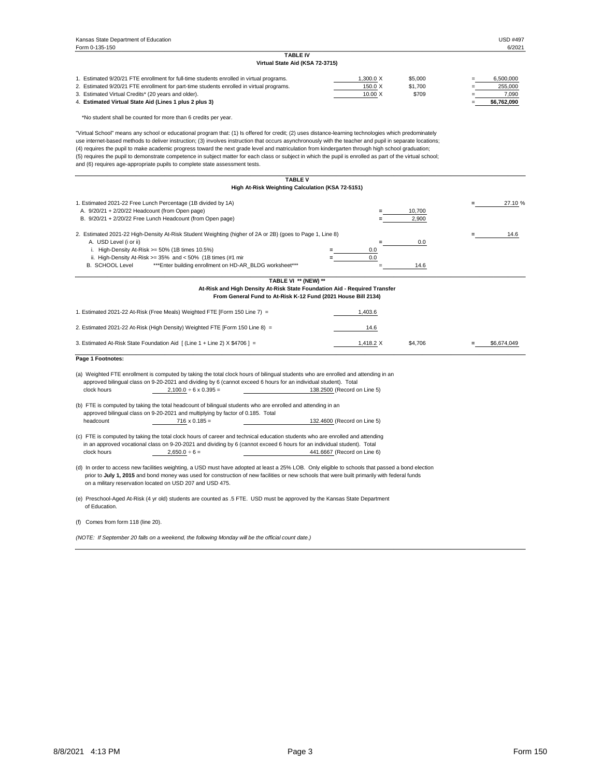| 1. Estimated 9/20/21 FTE enrollment for full-time students enrolled in virtual programs. | $.300.0 \times$ | \$5,000 |                          | 6,500,000   |
|------------------------------------------------------------------------------------------|-----------------|---------|--------------------------|-------------|
| 2. Estimated 9/20/21 FTE enrollment for part-time students enrolled in virtual programs. | 150.0 $X$       | \$1,700 | $=$                      | 255,000     |
| 3. Estimated Virtual Credits* (20 years and older).                                      | $10.00 \times$  | \$709   |                          | 7.090       |
| 4. Estimated Virtual State Aid (Lines 1 plus 2 plus 3)                                   |                 |         | $\overline{\phantom{0}}$ | \$6,762,090 |

\*No student shall be counted for more than 6 credits per year.

"Virtual School" means any school or educational program that: (1) Is offered for credit; (2) uses distance-learning technologies which predominately use internet-based methods to deliver instruction; (3) involves instruction that occurs asynchronously with the teacher and pupil in separate locations; (4) requires the pupil to make academic progress toward the next grade level and matriculation from kindergarten through high school graduation; (5) requires the pupil to demonstrate competence in subject matter for each class or subject in which the pupil is enrolled as part of the virtual school; and (6) requires age-appropriate pupils to complete state assessment tests.

|                                                                                                                                                                                                                                                                                                   | <b>TABLE V</b>                                   |           |         |             |
|---------------------------------------------------------------------------------------------------------------------------------------------------------------------------------------------------------------------------------------------------------------------------------------------------|--------------------------------------------------|-----------|---------|-------------|
|                                                                                                                                                                                                                                                                                                   | High At-Risk Weighting Calculation (KSA 72-5151) |           |         |             |
| 1. Estimated 2021-22 Free Lunch Percentage (1B divided by 1A)                                                                                                                                                                                                                                     |                                                  |           |         | 27.10 %     |
| A. 9/20/21 + 2/20/22 Headcount (from Open page)                                                                                                                                                                                                                                                   |                                                  |           | 10,700  |             |
| B. 9/20/21 + 2/20/22 Free Lunch Headcount (from Open page)                                                                                                                                                                                                                                        |                                                  |           | 2,900   |             |
| 2. Estimated 2021-22 High-Density At-Risk Student Weighting (higher of 2A or 2B) (goes to Page 1, Line 8)                                                                                                                                                                                         |                                                  |           |         | 14.6        |
| A. USD Level (i or ii)                                                                                                                                                                                                                                                                            |                                                  |           | 0.0     |             |
| i. High-Density At-Risk $>= 50\%$ (1B times 10.5%)                                                                                                                                                                                                                                                |                                                  | 0.0       |         |             |
| ii. High-Density At-Risk $>= 35\%$ and $< 50\%$ (1B times (#1 mir                                                                                                                                                                                                                                 |                                                  | 0.0       |         |             |
| <b>B. SCHOOL Level</b><br>*** Enter building enrollment on HD-AR_BLDG worksheet***                                                                                                                                                                                                                |                                                  |           | 14.6    |             |
|                                                                                                                                                                                                                                                                                                   | TABLE VI ** (NEW) **                             |           |         |             |
| At-Risk and High Density At-Risk State Foundation Aid - Required Transfer                                                                                                                                                                                                                         |                                                  |           |         |             |
| From General Fund to At-Risk K-12 Fund (2021 House Bill 2134)                                                                                                                                                                                                                                     |                                                  |           |         |             |
| 1. Estimated 2021-22 At-Risk (Free Meals) Weighted FTE [Form 150 Line 7) =                                                                                                                                                                                                                        |                                                  | 1,403.6   |         |             |
| 2. Estimated 2021-22 At-Risk (High Density) Weighted FTE [Form 150 Line 8) =                                                                                                                                                                                                                      |                                                  | 14.6      |         |             |
| 3. Estimated At-Risk State Foundation Aid [ (Line 1 + Line 2) X \$4706 ] =                                                                                                                                                                                                                        |                                                  | 1,418.2 X | \$4,706 | \$6,674,049 |
| Page 1 Footnotes:                                                                                                                                                                                                                                                                                 |                                                  |           |         |             |
| (a) Weighted FTE enrollment is computed by taking the total clock hours of bilingual students who are enrolled and attending in an                                                                                                                                                                |                                                  |           |         |             |
| approved bilingual class on 9-20-2021 and dividing by 6 (cannot exceed 6 hours for an individual student). Total                                                                                                                                                                                  |                                                  |           |         |             |
| clock hours<br>$2,100.0 \div 6 \times 0.395 =$                                                                                                                                                                                                                                                    | 138.2500 (Record on Line 5)                      |           |         |             |
| (b) FTE is computed by taking the total headcount of bilingual students who are enrolled and attending in an                                                                                                                                                                                      |                                                  |           |         |             |
| approved bilingual class on 9-20-2021 and multiplying by factor of 0.185. Total                                                                                                                                                                                                                   |                                                  |           |         |             |
| headcount the control of the control of the control of the control of the control of the control of the control of the control of the control of the control of the control of the control of the control of the control of the<br>$716 \times 0.185 =$                                           | 132.4600 (Record on Line 5)                      |           |         |             |
| (c) FTE is computed by taking the total clock hours of career and technical education students who are enrolled and attending                                                                                                                                                                     |                                                  |           |         |             |
| in an approved vocational class on 9-20-2021 and dividing by 6 (cannot exceed 6 hours for an individual student). Total                                                                                                                                                                           |                                                  |           |         |             |
| clock hours<br>$2,650.0 \div 6 =$                                                                                                                                                                                                                                                                 | 441.6667 (Record on Line 6)                      |           |         |             |
|                                                                                                                                                                                                                                                                                                   |                                                  |           |         |             |
| (d) In order to access new facilities weighting, a USD must have adopted at least a 25% LOB. Only eligible to schools that passed a bond election<br>prior to July 1, 2015 and bond money was used for construction of new facilities or new schools that were built primarily with federal funds |                                                  |           |         |             |

on a military reservation located on USD 207 and USD 475.

(e) Preschool-Aged At-Risk (4 yr old) students are counted as .5 FTE. USD must be approved by the Kansas State Department of Education.

(f) Comes from form 118 (line 20).

*(NOTE: If September 20 falls on a weekend, the following Monday will be the official count date.)*

# **Virtual State Aid (KSA 72-3715)**

# **TABLE IV**